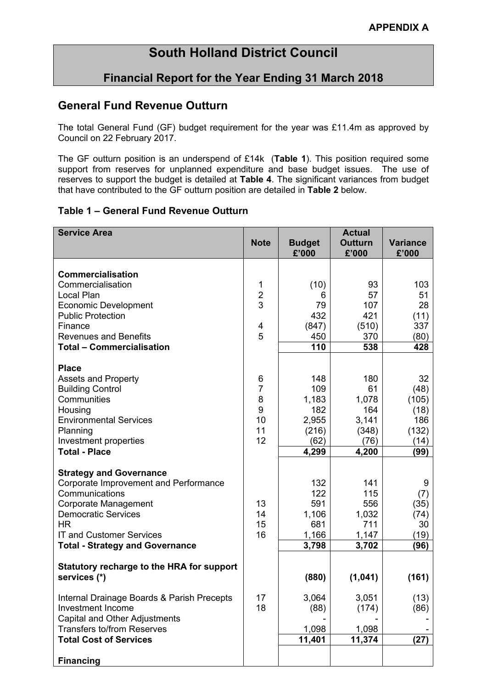# **South Holland District Council**

## **Financial Report for the Year Ending 31 March 2018**

## **General Fund Revenue Outturn**

The total General Fund (GF) budget requirement for the year was £11.4m as approved by Council on 22 February 2017.

The GF outturn position is an underspend of £14k (**Table 1**). This position required some support from reserves for unplanned expenditure and base budget issues. The use of reserves to support the budget is detailed at **Table 4**. The significant variances from budget that have contributed to the GF outturn position are detailed in **Table 2** below.

#### **Table 1 – General Fund Revenue Outturn**

| <b>Service Area</b>                                                |               |                        | <b>Actual</b>           |                          |
|--------------------------------------------------------------------|---------------|------------------------|-------------------------|--------------------------|
|                                                                    | <b>Note</b>   | <b>Budget</b><br>£'000 | <b>Outturn</b><br>£'000 | <b>Variance</b><br>£'000 |
|                                                                    |               |                        |                         |                          |
| <b>Commercialisation</b>                                           |               |                        |                         |                          |
| Commercialisation<br>Local Plan                                    | 1             | (10)<br>6              | 93<br>57                | 103<br>51                |
| <b>Economic Development</b>                                        | $\frac{2}{3}$ | 79                     | 107                     | 28                       |
| <b>Public Protection</b>                                           |               | 432                    | 421                     | (11)                     |
| Finance                                                            | 4             | (847)                  | (510)                   | 337                      |
| <b>Revenues and Benefits</b>                                       | 5             | 450                    | 370                     | (80)                     |
| <b>Total - Commercialisation</b>                                   |               | 110                    | 538                     | 428                      |
| <b>Place</b>                                                       |               |                        |                         |                          |
| <b>Assets and Property</b>                                         | 6             | 148                    | 180                     | 32                       |
| <b>Building Control</b>                                            | 7             | 109                    | 61                      | (48)                     |
| Communities                                                        | 8             | 1,183                  | 1,078                   | (105)                    |
| Housing                                                            | 9             | 182                    | 164                     | (18)                     |
| <b>Environmental Services</b>                                      | 10            | 2,955                  | 3,141                   | 186                      |
| Planning<br>Investment properties                                  | 11<br>12      | (216)<br>(62)          | (348)<br>(76)           | (132)<br>(14)            |
| <b>Total - Place</b>                                               |               | 4,299                  | 4,200                   | (99)                     |
|                                                                    |               |                        |                         |                          |
| <b>Strategy and Governance</b>                                     |               |                        |                         |                          |
| Corporate Improvement and Performance                              |               | 132                    | 141                     | 9                        |
| Communications                                                     | 13            | 122<br>591             | 115<br>556              | (7)                      |
| Corporate Management<br><b>Democratic Services</b>                 | 14            | 1,106                  | 1,032                   | (35)<br>(74)             |
| <b>HR</b>                                                          | 15            | 681                    | 711                     | 30                       |
| <b>IT and Customer Services</b>                                    | 16            | 1,166                  | 1,147                   | (19)                     |
| <b>Total - Strategy and Governance</b>                             |               | 3,798                  | 3,702                   | (96)                     |
|                                                                    |               |                        |                         |                          |
| Statutory recharge to the HRA for support<br>services (*)          |               | (880)                  | (1,041)                 | (161)                    |
|                                                                    |               |                        |                         |                          |
| Internal Drainage Boards & Parish Precepts                         | 17            | 3,064                  | 3,051                   | (13)                     |
| Investment Income                                                  | 18            | (88)                   | (174)                   | (86)                     |
| <b>Capital and Other Adjustments</b>                               |               |                        |                         |                          |
| <b>Transfers to/from Reserves</b><br><b>Total Cost of Services</b> |               | 1,098<br>11,401        | 1,098<br>11,374         | (27)                     |
|                                                                    |               |                        |                         |                          |
| <b>Financing</b>                                                   |               |                        |                         |                          |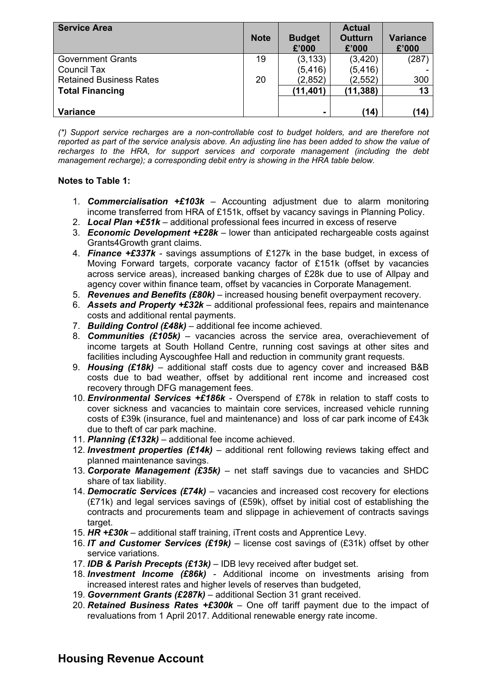| <b>Service Area</b>            | <b>Note</b> | <b>Budget</b><br>£'000 | <b>Actual</b><br>Outturn<br>£'000 | <b>Variance</b><br>£'000 |
|--------------------------------|-------------|------------------------|-----------------------------------|--------------------------|
| <b>Government Grants</b>       | 19          | (3, 133)               | (3,420)                           | (287)                    |
| Council Tax                    |             | (5, 416)               | (5, 416)                          |                          |
| <b>Retained Business Rates</b> | 20          | (2,852)                | (2, 552)                          | 300                      |
| <b>Total Financing</b>         |             | (11, 401)              | (11, 388)                         | 13                       |
|                                |             |                        |                                   |                          |
| <b>Variance</b>                |             | $\blacksquare$         | (14)                              | (14)                     |

*(\*) Support service recharges are a non-controllable cost to budget holders, and are therefore not* reported as part of the service analysis above. An adjusting line has been added to show the value of *recharges to the HRA, for support services and corporate management (including the debt management recharge); a corresponding debit entry is showing in the HRA table below.*

#### **Notes to Table 1:**

- 1. *Commercialisation +£103k* Accounting adjustment due to alarm monitoring income transferred from HRA of £151k, offset by vacancy savings in Planning Policy.
- 2. *Local Plan +£51k* additional professional fees incurred in excess of reserve
- 3. *Economic Development +£28k* lower than anticipated rechargeable costs against Grants4Growth grant claims.
- 4. *Finance +£337k* savings assumptions of £127k in the base budget, in excess of Moving Forward targets, corporate vacancy factor of £151k (offset by vacancies across service areas), increased banking charges of £28k due to use of Allpay and agency cover within finance team, offset by vacancies in Corporate Management.
- 5. *Revenues and Benefits (£80k)* increased housing benefit overpayment recovery.
- 6. *Assets and Property +£32k* additional professional fees, repairs and maintenance costs and additional rental payments.
- 7. *Building Control (£48k)* additional fee income achieved.
- 8. *Communities (£105k)* vacancies across the service area, overachievement of income targets at South Holland Centre, running cost savings at other sites and facilities including Ayscoughfee Hall and reduction in community grant requests.
- 9. *Housing (£18k)* additional staff costs due to agency cover and increased B&B costs due to bad weather, offset by additional rent income and increased cost recovery through DFG management fees.
- 10. *Environmental Services +£186k* Overspend of £78k in relation to staff costs to cover sickness and vacancies to maintain core services, increased vehicle running costs of £39k (insurance, fuel and maintenance) and loss of car park income of £43k due to theft of car park machine.
- 11. *Planning (£132k)* additional fee income achieved.
- 12. *Investment properties (£14k)* additional rent following reviews taking effect and planned maintenance savings.
- 13. *Corporate Management (£35k)* net staff savings due to vacancies and SHDC share of tax liability.
- 14. *Democratic Services (£74k)* vacancies and increased cost recovery for elections (£71k) and legal services savings of (£59k), offset by initial cost of establishing the contracts and procurements team and slippage in achievement of contracts savings target.
- 15. *HR +£30k* additional staff training, iTrent costs and Apprentice Levy.
- 16. *IT and Customer Services (£19k)* license cost savings of (£31k) offset by other service variations.
- 17. *IDB & Parish Precepts (£13k)* IDB levy received after budget set.
- 18. *Investment Income (£86k)* Additional income on investments arising from increased interest rates and higher levels of reserves than budgeted,
- 19. *Government Grants (£287k)* additional Section 31 grant received.
- 20. *Retained Business Rates +£300k* One off tariff payment due to the impact of revaluations from 1 April 2017. Additional renewable energy rate income.

## **Housing Revenue Account**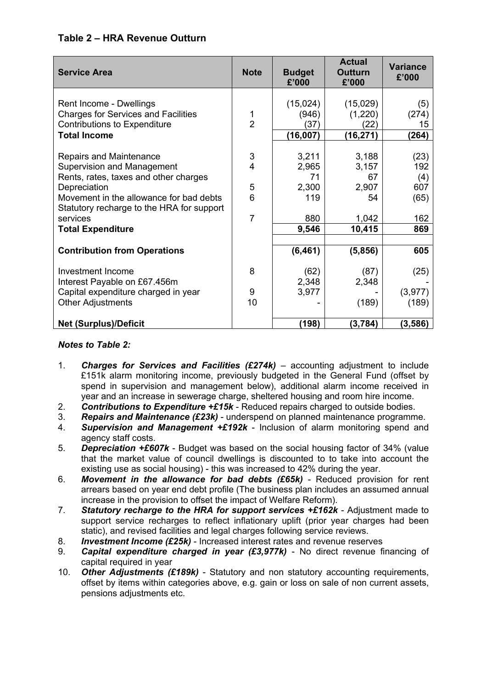## **Table 2 – HRA Revenue Outturn**

| <b>Service Area</b>                                                                  | <b>Note</b>    | <b>Budget</b><br>£'000 | <b>Actual</b><br><b>Outturn</b><br>£'000 | <b>Variance</b><br>£'000 |
|--------------------------------------------------------------------------------------|----------------|------------------------|------------------------------------------|--------------------------|
|                                                                                      |                |                        |                                          |                          |
| Rent Income - Dwellings                                                              |                | (15,024)               | (15,029)                                 | (5)                      |
| <b>Charges for Services and Facilities</b>                                           | 1              | (946)                  | (1,220)                                  | (274)                    |
| <b>Contributions to Expenditure</b>                                                  | $\overline{2}$ | (37)                   | (22)                                     | 15                       |
| <b>Total Income</b>                                                                  |                | (16,007)               | (16, 271)                                | (264)                    |
|                                                                                      |                |                        |                                          |                          |
| Repairs and Maintenance                                                              | 3              | 3,211                  | 3,188                                    | (23)                     |
| Supervision and Management                                                           | $\overline{4}$ | 2,965                  | 3,157                                    | 192                      |
| Rents, rates, taxes and other charges                                                |                | 71                     | 67                                       | (4)                      |
| Depreciation                                                                         | 5              | 2,300                  | 2,907                                    | 607                      |
| Movement in the allowance for bad debts<br>Statutory recharge to the HRA for support | 6              | 119                    | 54                                       | (65)                     |
| services                                                                             | $\overline{7}$ | 880                    | 1,042                                    | 162                      |
| <b>Total Expenditure</b>                                                             |                | 9,546                  | 10,415                                   | 869                      |
|                                                                                      |                |                        |                                          |                          |
| <b>Contribution from Operations</b>                                                  |                | (6, 461)               | (5,856)                                  | 605                      |
| Investment Income                                                                    | 8              | (62)                   | (87)                                     | (25)                     |
| Interest Payable on £67.456m                                                         |                | 2,348                  | 2,348                                    |                          |
| Capital expenditure charged in year                                                  | 9              | 3,977                  |                                          | (3,977)                  |
| <b>Other Adjustments</b>                                                             | 10             |                        | (189)                                    | (189)                    |
| <b>Net (Surplus)/Deficit</b>                                                         |                | (198)                  | (3, 784)                                 | (3,586)                  |

#### *Notes to Table 2:*

- 1. *Charges for Services and Facilities (£274k)* accounting adjustment to include £151k alarm monitoring income, previously budgeted in the General Fund (offset by spend in supervision and management below), additional alarm income received in year and an increase in sewerage charge, sheltered housing and room hire income.
- 2. *Contributions to Expenditure +£15k* Reduced repairs charged to outside bodies.
- 3. *Repairs and Maintenance (£23k)* underspend on planned maintenance programme.
- 4. *Supervision and Management +£192k* Inclusion of alarm monitoring spend and agency staff costs.
- 5. *Depreciation +£607k* Budget was based on the social housing factor of 34% (value that the market value of council dwellings is discounted to to take into account the existing use as social housing) - this was increased to 42% during the year.
- 6. *Movement in the allowance for bad debts (£65k)* Reduced provision for rent arrears based on year end debt profile (The business plan includes an assumed annual increase in the provision to offset the impact of Welfare Reform).
- 7. *Statutory recharge to the HRA for support services +£162k* Adjustment made to support service recharges to reflect inflationary uplift (prior year charges had been static), and revised facilities and legal charges following service reviews.
- 8. *Investment Income (£25k)* Increased interest rates and revenue reserves
- 9. *Capital expenditure charged in year (£3,977k)* No direct revenue financing of capital required in year
- 10. *Other Adjustments (£189k)* Statutory and non statutory accounting requirements, offset by items within categories above, e.g. gain or loss on sale of non current assets, pensions adjustments etc.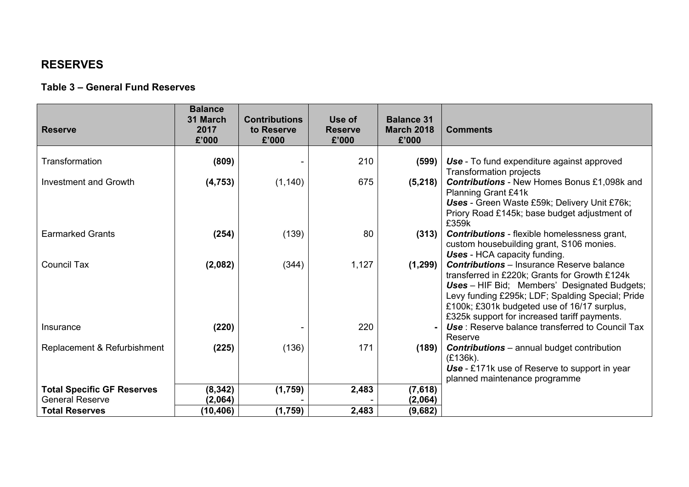## **RESERVES**

### **Table 3 – General Fund Reserves**

| <b>Reserve</b>                    | <b>Balance</b><br>31 March<br>2017<br>£'000 | <b>Contributions</b><br>to Reserve<br>£'000 | Use of<br><b>Reserve</b><br>£'000 | <b>Balance 31</b><br><b>March 2018</b><br>£'000 | <b>Comments</b>                                                                                                                                                                                                                                                                                             |
|-----------------------------------|---------------------------------------------|---------------------------------------------|-----------------------------------|-------------------------------------------------|-------------------------------------------------------------------------------------------------------------------------------------------------------------------------------------------------------------------------------------------------------------------------------------------------------------|
| Transformation                    | (809)                                       |                                             | 210                               | (599)                                           | <b>Use</b> - To fund expenditure against approved<br>Transformation projects                                                                                                                                                                                                                                |
| <b>Investment and Growth</b>      | (4, 753)                                    | (1, 140)                                    | 675                               | (5,218)                                         | <b>Contributions</b> - New Homes Bonus £1,098k and<br><b>Planning Grant £41k</b><br>Uses - Green Waste £59k; Delivery Unit £76k;<br>Priory Road £145k; base budget adjustment of<br>£359k                                                                                                                   |
| <b>Earmarked Grants</b>           | (254)                                       | (139)                                       | 80                                | (313)                                           | <b>Contributions</b> - flexible homelessness grant,<br>custom housebuilding grant, S106 monies.<br>Uses - HCA capacity funding.                                                                                                                                                                             |
| <b>Council Tax</b>                | (2,082)                                     | (344)                                       | 1,127                             | (1, 299)                                        | <b>Contributions</b> – Insurance Reserve balance<br>transferred in £220k; Grants for Growth £124k<br><b>Uses</b> – HIF Bid; Members' Designated Budgets;<br>Levy funding £295k; LDF; Spalding Special; Pride<br>£100k; £301k budgeted use of 16/17 surplus,<br>£325k support for increased tariff payments. |
| Insurance                         | (220)                                       |                                             | 220                               |                                                 | Use: Reserve balance transferred to Council Tax<br>Reserve                                                                                                                                                                                                                                                  |
| Replacement & Refurbishment       | (225)                                       | (136)                                       | 171                               | (189)                                           | <b>Contributions</b> – annual budget contribution<br>(£136k).<br>Use - £171k use of Reserve to support in year<br>planned maintenance programme                                                                                                                                                             |
| <b>Total Specific GF Reserves</b> | (8, 342)                                    | (1,759)                                     | 2,483                             | (7,618)                                         |                                                                                                                                                                                                                                                                                                             |
| <b>General Reserve</b>            | (2,064)                                     |                                             |                                   | (2,064)                                         |                                                                                                                                                                                                                                                                                                             |
| <b>Total Reserves</b>             | (10, 406)                                   | (1,759)                                     | 2,483                             | (9,682)                                         |                                                                                                                                                                                                                                                                                                             |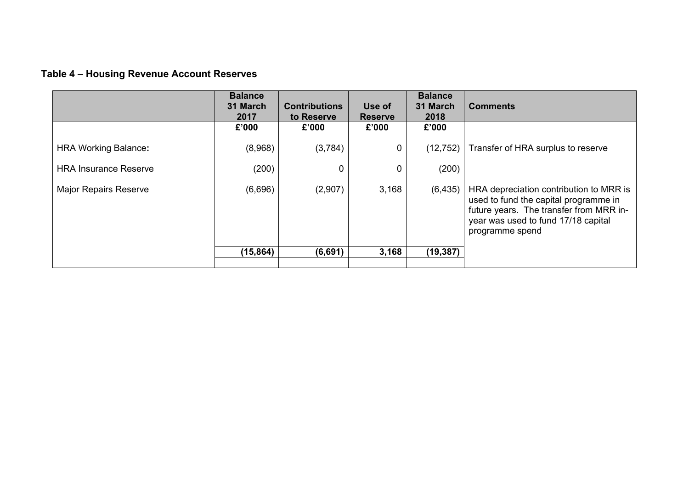# **Table 4 – Housing Revenue Account Reserves**

|                              | <b>Balance</b><br>31 March<br>2017 | <b>Contributions</b><br>to Reserve | Use of<br><b>Reserve</b> | <b>Balance</b><br>31 March<br>2018 | <b>Comments</b>                                                                                                                                                                       |
|------------------------------|------------------------------------|------------------------------------|--------------------------|------------------------------------|---------------------------------------------------------------------------------------------------------------------------------------------------------------------------------------|
|                              | £'000                              | £'000                              | £'000                    | £'000                              |                                                                                                                                                                                       |
| <b>HRA Working Balance:</b>  | (8,968)                            | (3,784)                            | 0                        | (12, 752)                          | Transfer of HRA surplus to reserve                                                                                                                                                    |
| <b>HRA Insurance Reserve</b> | (200)                              | 0                                  | $\pmb{0}$                | (200)                              |                                                                                                                                                                                       |
| <b>Major Repairs Reserve</b> | (6,696)                            | (2,907)                            | 3,168                    | (6, 435)                           | HRA depreciation contribution to MRR is<br>used to fund the capital programme in<br>future years. The transfer from MRR in-<br>year was used to fund 17/18 capital<br>programme spend |
|                              | (15, 864)                          | (6,691)                            | 3,168                    | (19, 387)                          |                                                                                                                                                                                       |
|                              |                                    |                                    |                          |                                    |                                                                                                                                                                                       |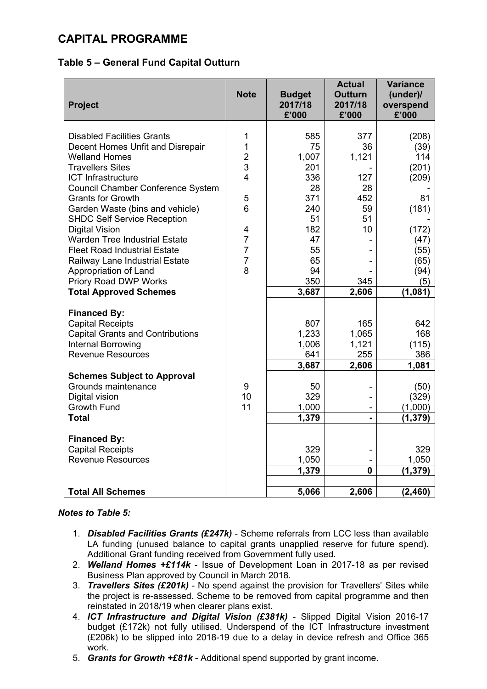## **CAPITAL PROGRAMME**

### **Table 5 – General Fund Capital Outturn**

| <b>Project</b>                                                                                                                                                                                                                                                                                                                                                                                                                                                                                                               | <b>Note</b>                                                                                                  | <b>Budget</b><br>2017/18<br>£'000                                                                         | <b>Actual</b><br><b>Outturn</b><br>2017/18<br>£'000                                   | <b>Variance</b><br>(under)/<br>overspend<br>£'000                                                                |
|------------------------------------------------------------------------------------------------------------------------------------------------------------------------------------------------------------------------------------------------------------------------------------------------------------------------------------------------------------------------------------------------------------------------------------------------------------------------------------------------------------------------------|--------------------------------------------------------------------------------------------------------------|-----------------------------------------------------------------------------------------------------------|---------------------------------------------------------------------------------------|------------------------------------------------------------------------------------------------------------------|
| <b>Disabled Facilities Grants</b><br>Decent Homes Unfit and Disrepair<br><b>Welland Homes</b><br><b>Travellers Sites</b><br><b>ICT Infrastructure</b><br>Council Chamber Conference System<br><b>Grants for Growth</b><br>Garden Waste (bins and vehicle)<br><b>SHDC Self Service Reception</b><br><b>Digital Vision</b><br><b>Warden Tree Industrial Estate</b><br><b>Fleet Road Industrial Estate</b><br>Railway Lane Industrial Estate<br>Appropriation of Land<br>Priory Road DWP Works<br><b>Total Approved Schemes</b> | 1<br>1<br>$\overline{2}$<br>3<br>4<br>5<br>6<br>4<br>$\overline{7}$<br>$\overline{7}$<br>$\overline{7}$<br>8 | 585<br>75<br>1,007<br>201<br>336<br>28<br>371<br>240<br>51<br>182<br>47<br>55<br>65<br>94<br>350<br>3,687 | 377<br>36<br>1,121<br>127<br>28<br>452<br>59<br>51<br>10 <sup>1</sup><br>345<br>2,606 | (208)<br>(39)<br>114<br>(201)<br>(209)<br>81<br>(181)<br>(172)<br>(47)<br>(55)<br>(65)<br>(94)<br>(5)<br>(1,081) |
| <b>Financed By:</b><br><b>Capital Receipts</b><br><b>Capital Grants and Contributions</b><br><b>Internal Borrowing</b><br><b>Revenue Resources</b><br><b>Schemes Subject to Approval</b><br>Grounds maintenance<br>Digital vision<br><b>Growth Fund</b><br><b>Total</b>                                                                                                                                                                                                                                                      | 9<br>10<br>11                                                                                                | 807<br>1,233<br>1,006<br>641<br>3,687<br>50<br>329<br>1,000<br>1,379                                      | 165<br>1,065<br>1,121<br>255<br>2,606                                                 | 642<br>168<br>(115)<br>386<br>1,081<br>(50)<br>(329)<br>(1,000)<br>(1, 379)                                      |
| <b>Financed By:</b><br><b>Capital Receipts</b><br><b>Revenue Resources</b>                                                                                                                                                                                                                                                                                                                                                                                                                                                   |                                                                                                              | 329<br>1,050<br>1,379                                                                                     | $\mathbf{0}$                                                                          | 329<br>1,050<br>(1, 379)                                                                                         |
| <b>Total All Schemes</b>                                                                                                                                                                                                                                                                                                                                                                                                                                                                                                     |                                                                                                              | 5,066                                                                                                     | 2,606                                                                                 | (2, 460)                                                                                                         |

#### *Notes to Table 5:*

- 1. *Disabled Facilities Grants (£247k)* Scheme referrals from LCC less than available LA funding (unused balance to capital grants unapplied reserve for future spend). Additional Grant funding received from Government fully used.
- 2. *Welland Homes +£114k* Issue of Development Loan in 2017-18 as per revised Business Plan approved by Council in March 2018.
- 3. *Travellers Sites (£201k)* No spend against the provision for Travellers' Sites while the project is re-assessed. Scheme to be removed from capital programme and then reinstated in 2018/19 when clearer plans exist.
- 4. *ICT Infrastructure and Digital Vision (£381k)* Slipped Digital Vision 2016-17 budget (£172k) not fully utilised. Underspend of the ICT Infrastructure investment (£206k) to be slipped into 2018-19 due to a delay in device refresh and Office 365 work.
- 5. *Grants for Growth +£81k* Additional spend supported by grant income.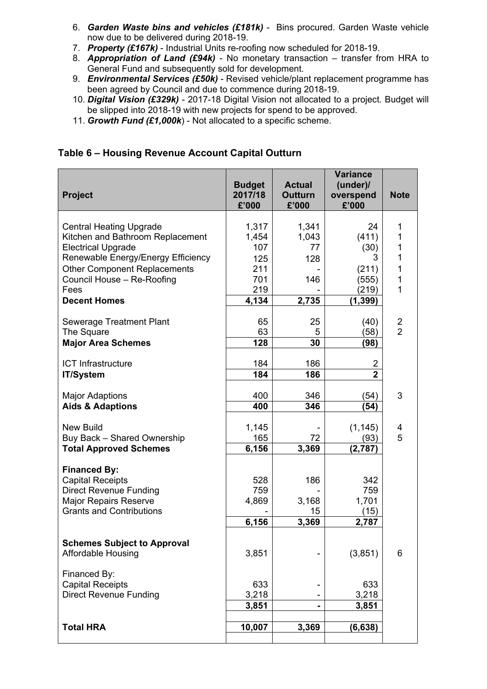- 6. *Garden Waste bins and vehicles (£181k)* Bins procured. Garden Waste vehicle now due to be delivered during 2018-19.
- 7. *Property (£167k)* Industrial Units re-roofing now scheduled for 2018-19.
- 8. *Appropriation of Land (£94k)* No monetary transaction transfer from HRA to General Fund and subsequently sold for development.
- 9. *Environmental Services (£50k)* Revised vehicle/plant replacement programme has been agreed by Council and due to commence during 2018-19.
- 10. *Digital Vision (£329k)* 2017-18 Digital Vision not allocated to a project. Budget will be slipped into 2018-19 with new projects for spend to be approved.
- 11. *Growth Fund (£1,000k*) Not allocated to a specific scheme.

### **Table 6 – Housing Revenue Account Capital Outturn**

| <b>Project</b>                                                  | <b>Budget</b><br>2017/18<br>£'000 | <b>Actual</b><br><b>Outturn</b><br>£'000 | <b>Variance</b><br>(under)<br>overspend<br>£'000 | <b>Note</b>    |
|-----------------------------------------------------------------|-----------------------------------|------------------------------------------|--------------------------------------------------|----------------|
|                                                                 |                                   |                                          |                                                  |                |
| <b>Central Heating Upgrade</b>                                  | 1,317                             | 1,341                                    | 24                                               | 1              |
| Kitchen and Bathroom Replacement                                | 1,454<br>107                      | 1,043<br>77                              | (411)                                            | 1<br>1         |
| <b>Electrical Upgrade</b><br>Renewable Energy/Energy Efficiency | 125                               | 128                                      | (30)<br>З                                        | 1              |
| <b>Other Component Replacements</b>                             | 211                               |                                          | (211)                                            | 1              |
| Council House - Re-Roofing                                      | 701                               | 146                                      | (555)                                            | 1              |
| Fees                                                            | 219                               |                                          | (219)                                            | 1              |
| <b>Decent Homes</b>                                             | 4,134                             | 2,735                                    | (1, 399)                                         |                |
|                                                                 |                                   |                                          |                                                  |                |
| Sewerage Treatment Plant                                        | 65                                | 25                                       | (40)                                             | 2              |
| The Square                                                      | 63                                | 5                                        | (58)                                             | $\overline{2}$ |
| <b>Major Area Schemes</b>                                       | 128                               | 30                                       | (98)                                             |                |
| <b>ICT Infrastructure</b>                                       | 184                               | 186                                      | 2                                                |                |
| <b>IT/System</b>                                                | 184                               | 186                                      | $\overline{2}$                                   |                |
|                                                                 |                                   |                                          |                                                  |                |
| <b>Major Adaptions</b>                                          | 400                               | 346                                      | (54)                                             | 3              |
| <b>Aids &amp; Adaptions</b>                                     | 400                               | 346                                      | (54)                                             |                |
| <b>New Build</b>                                                | 1,145                             |                                          | (1, 145)                                         | 4              |
| Buy Back - Shared Ownership                                     | 165                               | 72                                       | (93)                                             | 5              |
| <b>Total Approved Schemes</b>                                   | 6,156                             | 3,369                                    | (2,787)                                          |                |
| <b>Financed By:</b><br><b>Capital Receipts</b>                  | 528                               | 186                                      | 342                                              |                |
| <b>Direct Revenue Funding</b>                                   | 759                               |                                          | 759                                              |                |
| <b>Major Repairs Reserve</b>                                    | 4,869                             | 3,168                                    | 1,701                                            |                |
| <b>Grants and Contributions</b>                                 |                                   | 15                                       | (15)                                             |                |
|                                                                 | 6,156                             | 3,369                                    | 2,787                                            |                |
| <b>Schemes Subject to Approval</b><br><b>Affordable Housing</b> | 3,851                             |                                          | (3,851)                                          | 6              |
| Financed By:<br><b>Capital Receipts</b>                         | 633                               |                                          | 633                                              |                |
| <b>Direct Revenue Funding</b>                                   | 3,218                             |                                          | 3,218                                            |                |
|                                                                 | 3,851                             |                                          | 3,851                                            |                |
|                                                                 |                                   |                                          |                                                  |                |
| <b>Total HRA</b>                                                | 10,007                            | 3,369                                    | (6, 638)                                         |                |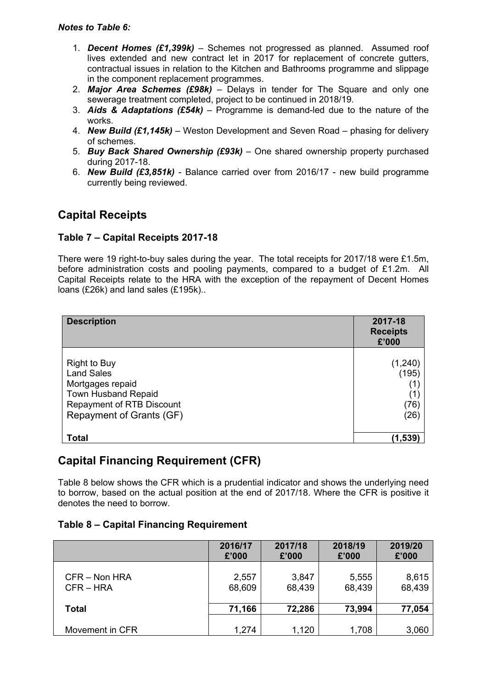- 1. *Decent Homes (£1,399k)* Schemes not progressed as planned. Assumed roof lives extended and new contract let in 2017 for replacement of concrete gutters, contractual issues in relation to the Kitchen and Bathrooms programme and slippage in the component replacement programmes.
- 2. *Major Area Schemes (£98k)* Delays in tender for The Square and only one sewerage treatment completed, project to be continued in 2018/19.
- 3. *Aids & Adaptations (£54k)* Programme is demand-led due to the nature of the works.
- 4. *New Build (£1,145k)* Weston Development and Seven Road phasing for delivery of schemes.
- 5. *Buy Back Shared Ownership (£93k)* One shared ownership property purchased during 2017-18.
- 6. *New Build (£3,851k)* Balance carried over from 2016/17 new build programme currently being reviewed.

## **Capital Receipts**

### **Table 7 – Capital Receipts 2017-18**

There were 19 right-to-buy sales during the year. The total receipts for 2017/18 were £1.5m, before administration costs and pooling payments, compared to a budget of £1.2m. All Capital Receipts relate to the HRA with the exception of the repayment of Decent Homes loans (£26k) and land sales (£195k)..

| <b>Description</b>                                                                                                                                         | 2017-18<br><b>Receipts</b><br>£'000     |
|------------------------------------------------------------------------------------------------------------------------------------------------------------|-----------------------------------------|
| <b>Right to Buy</b><br><b>Land Sales</b><br>Mortgages repaid<br><b>Town Husband Repaid</b><br><b>Repayment of RTB Discount</b><br>Repayment of Grants (GF) | (1,240)<br>(195)<br>(1)<br>(76)<br>(26) |
| <b>Total</b>                                                                                                                                               | (1,539)                                 |

## **Capital Financing Requirement (CFR)**

Table 8 below shows the CFR which is a prudential indicator and shows the underlying need to borrow, based on the actual position at the end of 2017/18. Where the CFR is positive it denotes the need to borrow.

### **Table 8 – Capital Financing Requirement**

|                 | 2016/17 | 2017/18 | 2018/19 | 2019/20 |
|-----------------|---------|---------|---------|---------|
|                 | £'000   | £'000   | £'000   | £'000   |
| CFR - Non HRA   | 2,557   | 3,847   | 5,555   | 8,615   |
| $CFR - HRA$     | 68,609  | 68,439  | 68,439  | 68,439  |
| <b>Total</b>    | 71,166  | 72,286  | 73,994  | 77,054  |
| Movement in CFR | 1,274   | 1,120   | 1,708   | 3,060   |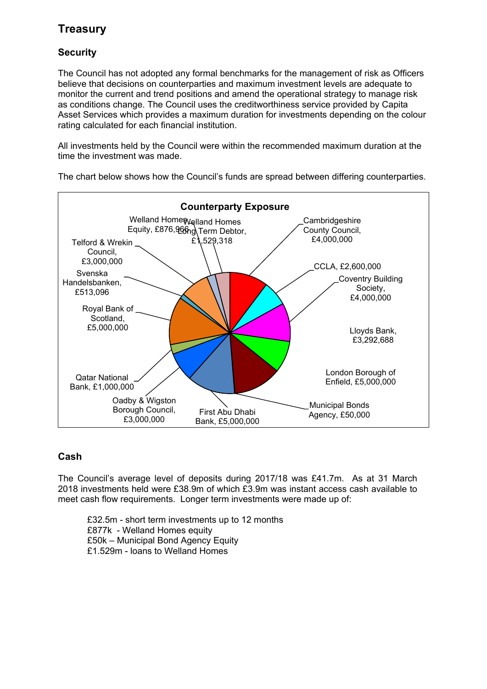# **Treasury**

## **Security**

The Council has not adopted any formal benchmarks for the management of risk as Officers believe that decisions on counterparties and maximum investment levels are adequate to monitor the current and trend positions and amend the operational strategy to manage risk as conditions change. The Council uses the creditworthiness service provided by Capita Asset Services which provides a maximum duration for investments depending on the colour rating calculated for each financial institution.

All investments held by the Council were within the recommended maximum duration at the time the investment was made.

Cambridgeshire County Council, £4,000,000 CCLA, £2,600,000 Coventry Building Society, £4,000,000 Lloyds Bank, £3,292,688 London Borough of Enfield, £5,000,000 Municipal Bonds First Abu Dhabi **Agency**, £50,000 Bank, £5,000,000 Oadby & Wigston Borough Council, £3,000,000 Qatar National Bank, £1,000,000 Royal Bank of Scotland, £5,000,000 Svenska Handelsbanken, £513,096 Telford & Wrekin Council, £3,000,000 Welland Home Welland Homes Equity, £876, 966<sub>ng</sub> Term Debtor,  $E$ 1,529,318 **Counterparty Exposure**

The chart below shows how the Council's funds are spread between differing counterparties.

### **Cash**

The Council's average level of deposits during 2017/18 was £41.7m. As at 31 March 2018 investments held were £38.9m of which £3.9m was instant access cash available to meet cash flow requirements. Longer term investments were made up of:

£32.5m - short term investments up to 12 months £877k - Welland Homes equity £50k – Municipal Bond Agency Equity £1.529m - loans to Welland Homes